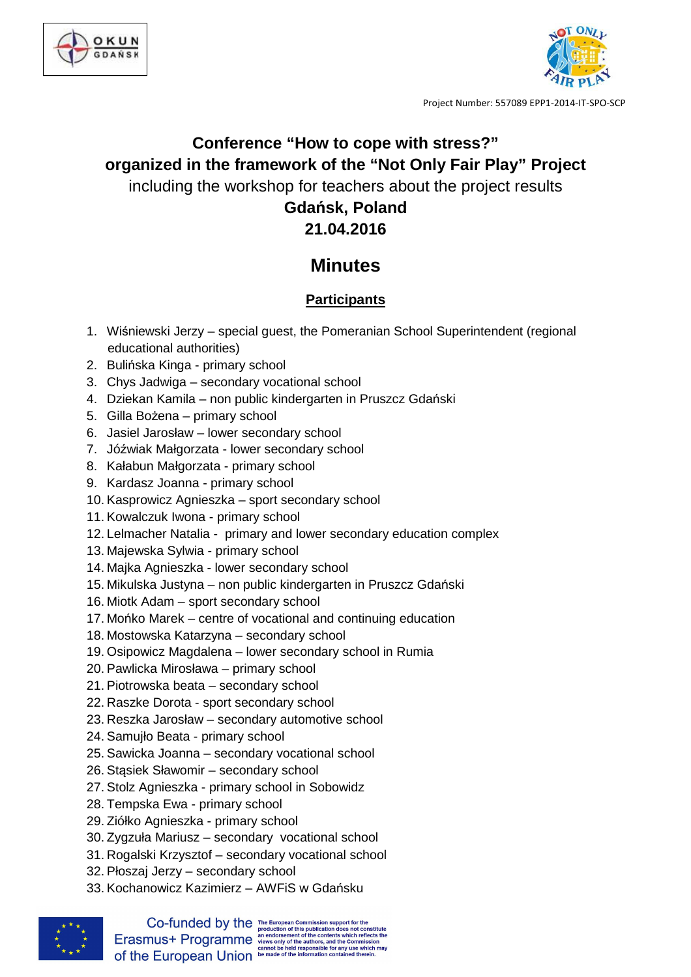



Project Number: 557089 EPP1-2014-IT-SPO-SCP

# **Conference "How to cope with stress?" organized in the framework of the "Not Only Fair Play" Project**  including the workshop for teachers about the project results **Gdańsk, Poland 21.04.2016**

## **Minutes**

## **Participants**

- 1. Wiśniewski Jerzy special guest, the Pomeranian School Superintendent (regional educational authorities)
- 2. Bulińska Kinga primary school
- 3. Chys Jadwiga secondary vocational school
- 4. Dziekan Kamila non public kindergarten in Pruszcz Gdański
- 5. Gilla Bożena primary school
- 6. Jasiel Jarosław lower secondary school
- 7. Jóźwiak Małgorzata lower secondary school
- 8. Kałabun Małgorzata primary school
- 9. Kardasz Joanna primary school
- 10. Kasprowicz Agnieszka sport secondary school
- 11. Kowalczuk Iwona primary school
- 12. Lelmacher Natalia primary and lower secondary education complex
- 13. Majewska Sylwia primary school
- 14. Majka Agnieszka lower secondary school
- 15. Mikulska Justyna non public kindergarten in Pruszcz Gdański
- 16. Miotk Adam sport secondary school
- 17. Mońko Marek centre of vocational and continuing education
- 18. Mostowska Katarzyna secondary school
- 19. Osipowicz Magdalena lower secondary school in Rumia
- 20. Pawlicka Mirosława primary school
- 21. Piotrowska beata secondary school
- 22. Raszke Dorota sport secondary school
- 23. Reszka Jarosław secondary automotive school
- 24. Samujło Beata primary school
- 25. Sawicka Joanna secondary vocational school
- 26. Stąsiek Sławomir secondary school
- 27. Stolz Agnieszka primary school in Sobowidz
- 28. Tempska Ewa primary school
- 29. Ziółko Agnieszka primary school
- 30. Zygzuła Mariusz secondary vocational school
- 31. Rogalski Krzysztof secondary vocational school
- 32. Płoszaj Jerzy secondary school
- 33. Kochanowicz Kazimierz AWFiS w Gdańsku



 $\textbf{Co-fundred by the {\tiny\textsf{F}}\xspace} {\tiny\textsf{F}}\xspace\textcolor{red}{\textsf{F}}\xspace\textcolor{red}{\textsf{in}}\xspace\textcolor{red}{\textsf{in}}\xspace\textcolor{red}{\textsf{in}}\xspace\textcolor{red}{\textsf{in}}\xspace\textcolor{red}{\textsf{in}}\xspace\textcolor{red}{\textsf{in}}\xspace\textcolor{red}{\textsf{in}}\xspace\textcolor{red}{\textsf{in}}\xspace\textcolor{red}{\textsf{in}}\xspace\textcolor{red}{\textsf{in}}\xspace\textcolor{red}{\textsf{in}}\xspace\textcolor{red}{\text$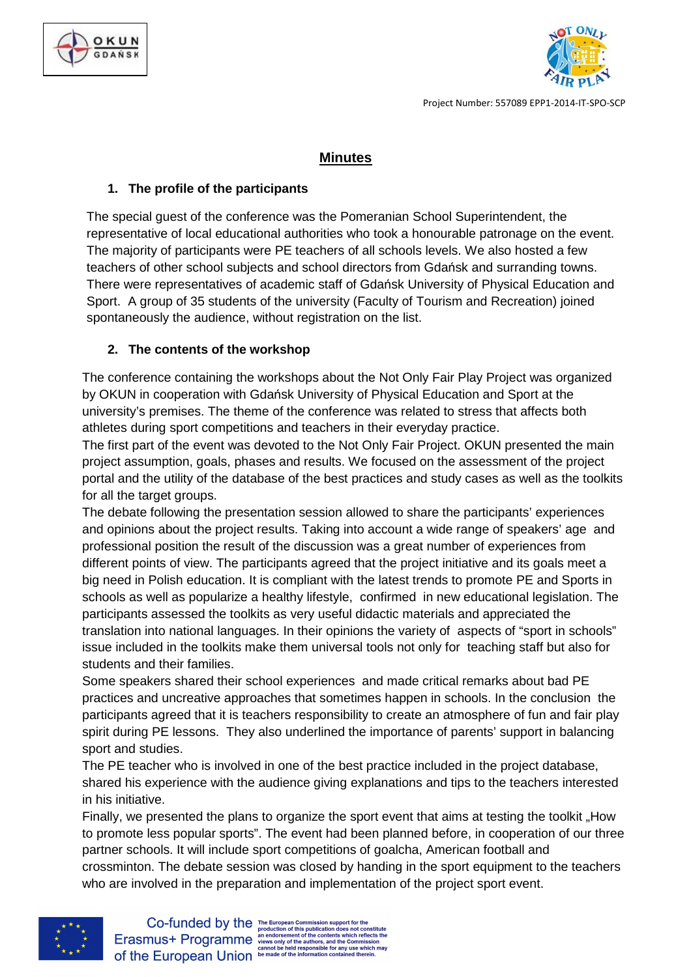



Project Number: 557089 EPP1-2014-IT-SPO-SCP

## **Minutes**

#### **1. The profile of the participants**

The special guest of the conference was the Pomeranian School Superintendent, the representative of local educational authorities who took a honourable patronage on the event. The majority of participants were PE teachers of all schools levels. We also hosted a few teachers of other school subjects and school directors from Gdańsk and surranding towns. There were representatives of academic staff of Gdańsk University of Physical Education and Sport. A group of 35 students of the university (Faculty of Tourism and Recreation) joined spontaneously the audience, without registration on the list.

### **2. The contents of the workshop**

The conference containing the workshops about the Not Only Fair Play Project was organized by OKUN in cooperation with Gdańsk University of Physical Education and Sport at the university's premises. The theme of the conference was related to stress that affects both athletes during sport competitions and teachers in their everyday practice.

The first part of the event was devoted to the Not Only Fair Project. OKUN presented the main project assumption, goals, phases and results. We focused on the assessment of the project portal and the utility of the database of the best practices and study cases as well as the toolkits for all the target groups.

The debate following the presentation session allowed to share the participants' experiences and opinions about the project results. Taking into account a wide range of speakers' age and professional position the result of the discussion was a great number of experiences from different points of view. The participants agreed that the project initiative and its goals meet a big need in Polish education. It is compliant with the latest trends to promote PE and Sports in schools as well as popularize a healthy lifestyle, confirmed in new educational legislation. The participants assessed the toolkits as very useful didactic materials and appreciated the translation into national languages. In their opinions the variety of aspects of "sport in schools" issue included in the toolkits make them universal tools not only for teaching staff but also for students and their families.

Some speakers shared their school experiences and made critical remarks about bad PE practices and uncreative approaches that sometimes happen in schools. In the conclusion the participants agreed that it is teachers responsibility to create an atmosphere of fun and fair play spirit during PE lessons. They also underlined the importance of parents' support in balancing sport and studies.

The PE teacher who is involved in one of the best practice included in the project database, shared his experience with the audience giving explanations and tips to the teachers interested in his initiative.

Finally, we presented the plans to organize the sport event that aims at testing the toolkit "How" to promote less popular sports". The event had been planned before, in cooperation of our three partner schools. It will include sport competitions of goalcha, American football and crossminton. The debate session was closed by handing in the sport equipment to the teachers who are involved in the preparation and implementation of the project sport event.